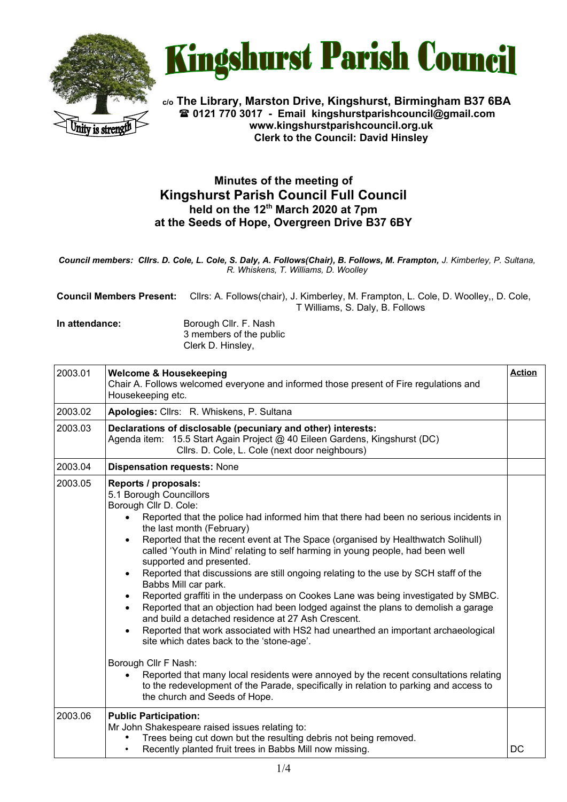



**c/o The Library, Marston Drive, Kingshurst, Birmingham B37 6BA 0121 770 3017 - Email [kingshurstparishcouncil@gmail.com](mailto:kingshurstparishcouncil@gmail.com) www.kingshurstparishcouncil.org.uk Clerk to the Council: David Hinsley** 

## **Minutes of the meeting of Kingshurst Parish Council Full Council held on the 12th March 2020 at 7pm at the Seeds of Hope, Overgreen Drive B37 6BY**

*Council members: Cllrs. D. Cole, L. Cole, S. Daly, A. Follows(Chair), B. Follows, M. Frampton, J. Kimberley, P. Sultana, R. Whiskens, T. Williams, D. Woolley*

| <b>Council Members Present:</b> | Cllrs: A. Follows(chair), J. Kimberley, M. Frampton, L. Cole, D. Woolley,, D. Cole, |
|---------------------------------|-------------------------------------------------------------------------------------|
|                                 | T Williams, S. Daly, B. Follows                                                     |
| In attondanco:                  | Romugh Cllr E Noch                                                                  |

**In attendance:** Borough Cllr. F. Nash 3 members of the public Clerk D. Hinsley,

| 2003.01 | <b>Welcome &amp; Housekeeping</b><br>Chair A. Follows welcomed everyone and informed those present of Fire regulations and<br>Housekeeping etc.                                                                                                                                                                                                                                                                                                                                                                                                                                                                                                                                                                                                                                                                                                                                                                                                                                                                                                                                                                                                                                                         | <b>Action</b> |
|---------|---------------------------------------------------------------------------------------------------------------------------------------------------------------------------------------------------------------------------------------------------------------------------------------------------------------------------------------------------------------------------------------------------------------------------------------------------------------------------------------------------------------------------------------------------------------------------------------------------------------------------------------------------------------------------------------------------------------------------------------------------------------------------------------------------------------------------------------------------------------------------------------------------------------------------------------------------------------------------------------------------------------------------------------------------------------------------------------------------------------------------------------------------------------------------------------------------------|---------------|
| 2003.02 | Apologies: Cllrs: R. Whiskens, P. Sultana                                                                                                                                                                                                                                                                                                                                                                                                                                                                                                                                                                                                                                                                                                                                                                                                                                                                                                                                                                                                                                                                                                                                                               |               |
| 2003.03 | Declarations of disclosable (pecuniary and other) interests:<br>Agenda item: 15.5 Start Again Project @ 40 Eileen Gardens, Kingshurst (DC)<br>Cllrs. D. Cole, L. Cole (next door neighbours)                                                                                                                                                                                                                                                                                                                                                                                                                                                                                                                                                                                                                                                                                                                                                                                                                                                                                                                                                                                                            |               |
| 2003.04 | <b>Dispensation requests: None</b>                                                                                                                                                                                                                                                                                                                                                                                                                                                                                                                                                                                                                                                                                                                                                                                                                                                                                                                                                                                                                                                                                                                                                                      |               |
| 2003.05 | Reports / proposals:<br>5.1 Borough Councillors<br>Borough Cllr D. Cole:<br>Reported that the police had informed him that there had been no serious incidents in<br>$\bullet$<br>the last month (February)<br>Reported that the recent event at The Space (organised by Healthwatch Solihull)<br>$\bullet$<br>called 'Youth in Mind' relating to self harming in young people, had been well<br>supported and presented.<br>Reported that discussions are still ongoing relating to the use by SCH staff of the<br>$\bullet$<br>Babbs Mill car park.<br>Reported graffiti in the underpass on Cookes Lane was being investigated by SMBC.<br>$\bullet$<br>Reported that an objection had been lodged against the plans to demolish a garage<br>$\bullet$<br>and build a detached residence at 27 Ash Crescent.<br>Reported that work associated with HS2 had unearthed an important archaeological<br>site which dates back to the 'stone-age'.<br>Borough Cllr F Nash:<br>Reported that many local residents were annoyed by the recent consultations relating<br>$\bullet$<br>to the redevelopment of the Parade, specifically in relation to parking and access to<br>the church and Seeds of Hope. |               |
| 2003.06 | <b>Public Participation:</b><br>Mr John Shakespeare raised issues relating to:<br>Trees being cut down but the resulting debris not being removed.<br>Recently planted fruit trees in Babbs Mill now missing.<br>$\bullet$                                                                                                                                                                                                                                                                                                                                                                                                                                                                                                                                                                                                                                                                                                                                                                                                                                                                                                                                                                              | DC            |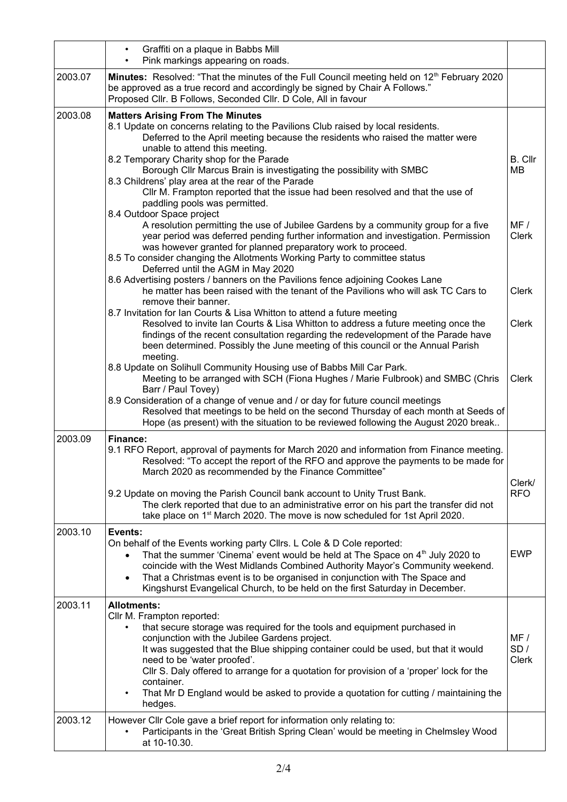|         | Graffiti on a plaque in Babbs Mill<br>$\bullet$<br>Pink markings appearing on roads.                                                                                                                                                                                                                                                                                                                                                                                                                                                                                       |                            |
|---------|----------------------------------------------------------------------------------------------------------------------------------------------------------------------------------------------------------------------------------------------------------------------------------------------------------------------------------------------------------------------------------------------------------------------------------------------------------------------------------------------------------------------------------------------------------------------------|----------------------------|
| 2003.07 | Minutes: Resolved: "That the minutes of the Full Council meeting held on 12 <sup>th</sup> February 2020<br>be approved as a true record and accordingly be signed by Chair A Follows."<br>Proposed Cllr. B Follows, Seconded Cllr. D Cole, All in favour                                                                                                                                                                                                                                                                                                                   |                            |
| 2003.08 | <b>Matters Arising From The Minutes</b><br>8.1 Update on concerns relating to the Pavilions Club raised by local residents.<br>Deferred to the April meeting because the residents who raised the matter were<br>unable to attend this meeting.<br>8.2 Temporary Charity shop for the Parade<br>Borough Cllr Marcus Brain is investigating the possibility with SMBC<br>8.3 Childrens' play area at the rear of the Parade<br>CIIr M. Frampton reported that the issue had been resolved and that the use of<br>paddling pools was permitted.<br>8.4 Outdoor Space project | <b>B.</b> Cllr<br>MВ       |
|         | A resolution permitting the use of Jubilee Gardens by a community group for a five<br>year period was deferred pending further information and investigation. Permission<br>was however granted for planned preparatory work to proceed.<br>8.5 To consider changing the Allotments Working Party to committee status<br>Deferred until the AGM in May 2020                                                                                                                                                                                                                | MF/<br><b>Clerk</b>        |
|         | 8.6 Advertising posters / banners on the Pavilions fence adjoining Cookes Lane<br>he matter has been raised with the tenant of the Pavilions who will ask TC Cars to<br>remove their banner.                                                                                                                                                                                                                                                                                                                                                                               | <b>Clerk</b>               |
|         | 8.7 Invitation for Ian Courts & Lisa Whitton to attend a future meeting<br>Resolved to invite Ian Courts & Lisa Whitton to address a future meeting once the<br>findings of the recent consultation regarding the redevelopment of the Parade have<br>been determined. Possibly the June meeting of this council or the Annual Parish<br>meeting.                                                                                                                                                                                                                          | <b>Clerk</b>               |
|         | 8.8 Update on Solihull Community Housing use of Babbs Mill Car Park.<br>Meeting to be arranged with SCH (Fiona Hughes / Marie Fulbrook) and SMBC (Chris<br>Barr / Paul Tovey)<br>8.9 Consideration of a change of venue and / or day for future council meetings                                                                                                                                                                                                                                                                                                           | Clerk                      |
|         | Resolved that meetings to be held on the second Thursday of each month at Seeds of<br>Hope (as present) with the situation to be reviewed following the August 2020 break                                                                                                                                                                                                                                                                                                                                                                                                  |                            |
| 2003.09 | Finance:<br>9.1 RFO Report, approval of payments for March 2020 and information from Finance meeting.<br>Resolved: "To accept the report of the RFO and approve the payments to be made for<br>March 2020 as recommended by the Finance Committee"<br>9.2 Update on moving the Parish Council bank account to Unity Trust Bank.                                                                                                                                                                                                                                            | Clerk/<br><b>RFO</b>       |
|         | The clerk reported that due to an administrative error on his part the transfer did not<br>take place on 1 <sup>st</sup> March 2020. The move is now scheduled for 1st April 2020.                                                                                                                                                                                                                                                                                                                                                                                         |                            |
| 2003.10 | Events:<br>On behalf of the Events working party Cllrs. L Cole & D Cole reported:<br>That the summer 'Cinema' event would be held at The Space on 4 <sup>th</sup> July 2020 to<br>coincide with the West Midlands Combined Authority Mayor's Community weekend.<br>That a Christmas event is to be organised in conjunction with The Space and<br>Kingshurst Evangelical Church, to be held on the first Saturday in December.                                                                                                                                             | <b>EWP</b>                 |
| 2003.11 | <b>Allotments:</b><br>Cllr M. Frampton reported:<br>that secure storage was required for the tools and equipment purchased in<br>$\bullet$<br>conjunction with the Jubilee Gardens project.<br>It was suggested that the Blue shipping container could be used, but that it would<br>need to be 'water proofed'.<br>CIIr S. Daly offered to arrange for a quotation for provision of a 'proper' lock for the<br>container.<br>That Mr D England would be asked to provide a quotation for cutting / maintaining the<br>hedges.                                             | MF/<br>SD/<br><b>Clerk</b> |
| 2003.12 | However Cllr Cole gave a brief report for information only relating to:<br>Participants in the 'Great British Spring Clean' would be meeting in Chelmsley Wood<br>at 10-10.30.                                                                                                                                                                                                                                                                                                                                                                                             |                            |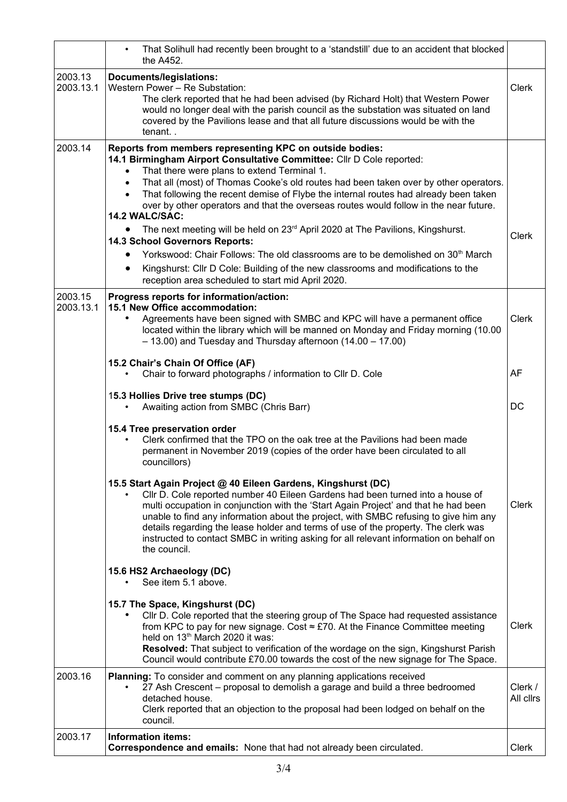|                      | That Solihull had recently been brought to a 'standstill' due to an accident that blocked<br>the A452.                                                                                                                                                                                                                                                                                                                                                                                                                                                                                                                                                                                                                                                                                                                                                                                                  |                      |
|----------------------|---------------------------------------------------------------------------------------------------------------------------------------------------------------------------------------------------------------------------------------------------------------------------------------------------------------------------------------------------------------------------------------------------------------------------------------------------------------------------------------------------------------------------------------------------------------------------------------------------------------------------------------------------------------------------------------------------------------------------------------------------------------------------------------------------------------------------------------------------------------------------------------------------------|----------------------|
| 2003.13<br>2003.13.1 | Documents/legislations:<br>Western Power - Re Substation:<br>The clerk reported that he had been advised (by Richard Holt) that Western Power<br>would no longer deal with the parish council as the substation was situated on land<br>covered by the Pavilions lease and that all future discussions would be with the<br>tenant                                                                                                                                                                                                                                                                                                                                                                                                                                                                                                                                                                      | <b>Clerk</b>         |
| 2003.14              | Reports from members representing KPC on outside bodies:<br>14.1 Birmingham Airport Consultative Committee: Cllr D Cole reported:<br>That there were plans to extend Terminal 1.<br>$\bullet$<br>That all (most) of Thomas Cooke's old routes had been taken over by other operators.<br>$\bullet$<br>That following the recent demise of Flybe the internal routes had already been taken<br>$\bullet$<br>over by other operators and that the overseas routes would follow in the near future.<br>14.2 WALC/SAC:<br>The next meeting will be held on 23 <sup>rd</sup> April 2020 at The Pavilions, Kingshurst.<br>14.3 School Governors Reports:<br>Yorkswood: Chair Follows: The old classrooms are to be demolished on 30 <sup>th</sup> March<br>Kingshurst: Cllr D Cole: Building of the new classrooms and modifications to the<br>$\bullet$<br>reception area scheduled to start mid April 2020. | <b>Clerk</b>         |
| 2003.15<br>2003.13.1 | Progress reports for information/action:<br>15.1 New Office accommodation:<br>Agreements have been signed with SMBC and KPC will have a permanent office<br>located within the library which will be manned on Monday and Friday morning (10.00<br>$-13.00$ ) and Tuesday and Thursday afternoon (14.00 - 17.00)                                                                                                                                                                                                                                                                                                                                                                                                                                                                                                                                                                                        | Clerk                |
|                      | 15.2 Chair's Chain Of Office (AF)<br>Chair to forward photographs / information to Cllr D. Cole                                                                                                                                                                                                                                                                                                                                                                                                                                                                                                                                                                                                                                                                                                                                                                                                         | AF                   |
|                      | 15.3 Hollies Drive tree stumps (DC)<br>Awaiting action from SMBC (Chris Barr)                                                                                                                                                                                                                                                                                                                                                                                                                                                                                                                                                                                                                                                                                                                                                                                                                           | <b>DC</b>            |
|                      | 15.4 Tree preservation order<br>Clerk confirmed that the TPO on the oak tree at the Pavilions had been made<br>permanent in November 2019 (copies of the order have been circulated to all<br>councillors)                                                                                                                                                                                                                                                                                                                                                                                                                                                                                                                                                                                                                                                                                              |                      |
|                      | 15.5 Start Again Project @ 40 Eileen Gardens, Kingshurst (DC)<br>Cllr D. Cole reported number 40 Eileen Gardens had been turned into a house of<br>multi occupation in conjunction with the 'Start Again Project' and that he had been<br>unable to find any information about the project, with SMBC refusing to give him any<br>details regarding the lease holder and terms of use of the property. The clerk was<br>instructed to contact SMBC in writing asking for all relevant information on behalf on<br>the council.                                                                                                                                                                                                                                                                                                                                                                          | Clerk                |
|                      | 15.6 HS2 Archaeology (DC)<br>See item 5.1 above.                                                                                                                                                                                                                                                                                                                                                                                                                                                                                                                                                                                                                                                                                                                                                                                                                                                        |                      |
|                      | 15.7 The Space, Kingshurst (DC)<br>Cllr D. Cole reported that the steering group of The Space had requested assistance<br>from KPC to pay for new signage. Cost $\approx$ £70. At the Finance Committee meeting<br>held on 13 <sup>th</sup> March 2020 it was:<br>Resolved: That subject to verification of the wordage on the sign, Kingshurst Parish<br>Council would contribute £70.00 towards the cost of the new signage for The Space.                                                                                                                                                                                                                                                                                                                                                                                                                                                            | <b>Clerk</b>         |
| 2003.16              | Planning: To consider and comment on any planning applications received<br>27 Ash Crescent – proposal to demolish a garage and build a three bedroomed<br>detached house.<br>Clerk reported that an objection to the proposal had been lodged on behalf on the<br>council.                                                                                                                                                                                                                                                                                                                                                                                                                                                                                                                                                                                                                              | Clerk /<br>All cllrs |
| 2003.17              | <b>Information items:</b><br>Correspondence and emails: None that had not already been circulated.                                                                                                                                                                                                                                                                                                                                                                                                                                                                                                                                                                                                                                                                                                                                                                                                      | Clerk                |